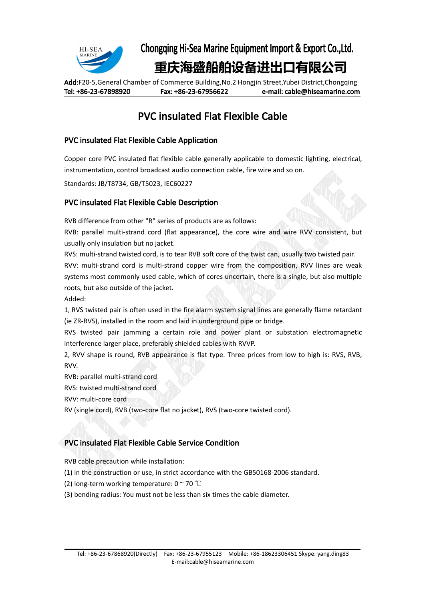

Chongqing Hi-Sea Marine Equipment Import & Export Co.,Ltd.

# **重庆海盛船舶设备进出口有限公司**

Add:F20-5,General Chamber of Commerce Building,No.2 Hongjin Street,Yubei District,Chongqing Tel: +86-23-67898920 Fax: +86-23-67956622 e-mail: cable@hiseamarine.com

# PVC insulated Flat Flexible Cable

### PVC insulated Flat Flexible Cable Application

Copper core PVC insulated flat flexible cable generally applicable to domestic lighting, electrical, instrumentation, control broadcast audio connection cable, fire wire and so on.

Standards: JB/T8734, GB/T5023, IEC60227

#### PVC insulated Flat Flexible Cable Description

RVB difference from other "R" series of products are as follows:

RVB: parallel multi-strand cord (flat appearance), the core wire and wire RVV consistent, but usually only insulation but no jacket.

RVS: multi-strand twisted cord, is to tear RVB soft core of the twist can, usually two twisted pair. RVV: multi-strand cord is multi-strand copper wire from the composition, RVV lines are weak systems most commonly used cable, which of cores uncertain, there is a single, but also multiple roots, but also outside of the jacket.

Added:

1, RVS twisted pair is often used in the fire alarm system signal lines are generally flame retardant (ie ZR-RVS), installed in the room and laid in underground pipe or bridge.

RVS twisted pair jamming a certain role and power plant or substation electromagnetic interference larger place, preferably shielded cables with RVVP.

2, RVV shape is round, RVB appearance is flat type. Three prices from low to high is: RVS, RVB, RVV.

RVB: parallel multi-strand cord

RVS: twisted multi-strand cord

RVV: multi-core cord

RV (single cord), RVB (two-core flat no jacket), RVS (two-core twisted cord).

### PVC insulated Flat Flexible Cable Service Condition

RVB cable precaution while installation:

- (1) in the construction or use, in strict accordance with the GB50168-2006 standard.
- (2) long-term working temperature:  $0 \approx 70$  °C
- (3) bending radius: You must not be less than six times the cable diameter.